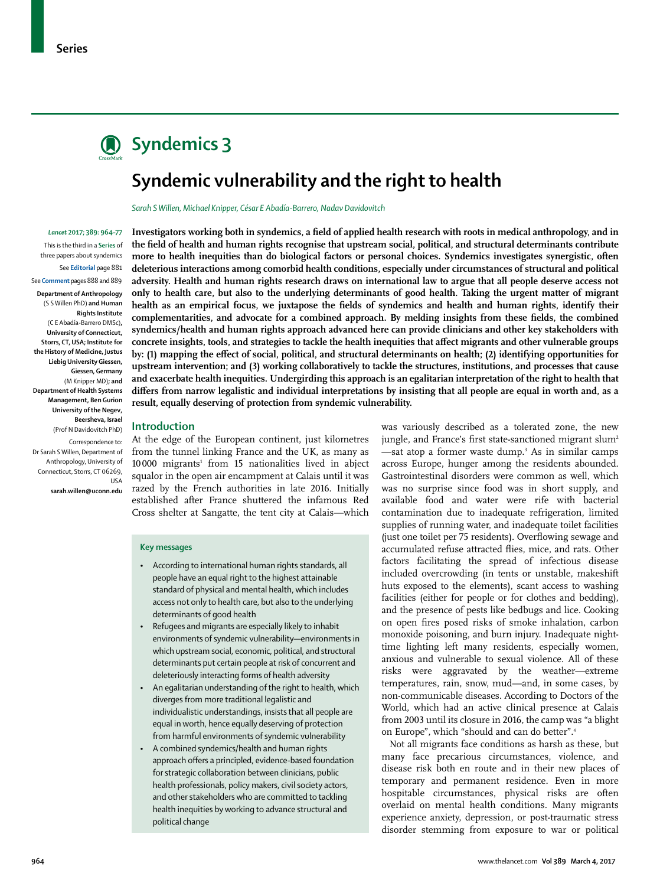

# **Syndemics 3**

# **Syndemic vulnerability and the right to health**

*Sarah S Willen, Michael Knipper, César E Abadía-Barrero, Nadav Davidovitch*

#### *Lancet* **2017; 389: 964–77**

This is the third in a **Series** of three papers about syndemics See **Editorial** page 881 See **Comment** pages 888 and 889 **Department of Anthropology**  (S S Willen PhD) **and Human Rights Institute**  (C E Abadía-Barrero DMSc)**, University of Connecticut, Storrs, CT, USA; Institute for the History of Medicine, Justus Liebig University Giessen, Giessen, Germany**  (M Knipper MD)**; and Department of Health Systems Management, Ben Gurion University of the Negev, Beersheva, Israel** 

(Prof N Davidovitch PhD)

Correspondence to: Dr Sarah S Willen, Department of Anthropology, University of Connecticut, Storrs, CT 06269, USA

**sarah.willen@uconn.edu**

**Investigators working both in syndemics, a field of applied health research with roots in medical anthropology, and in the field of health and human rights recognise that upstream social, political, and structural determinants contribute more to health inequities than do biological factors or personal choices. Syndemics investigates synergistic, often deleterious interactions among comorbid health conditions, especially under circumstances of structural and political adversity. Health and human rights research draws on international law to argue that all people deserve access not only to health care, but also to the underlying determinants of good health. Taking the urgent matter of migrant health as an empirical focus, we juxtapose the fields of syndemics and health and human rights, identify their complementarities, and advocate for a combined approach. By melding insights from these fields, the combined syndemics/health and human rights approach advanced here can provide clinicians and other key stakeholders with concrete insights, tools, and strategies to tackle the health inequities that affect migrants and other vulnerable groups by: (1) mapping the effect of social, political, and structural determinants on health; (2) identifying opportunities for upstream intervention; and (3) working collaboratively to tackle the structures, institutions, and processes that cause and exacerbate health inequities. Undergirding this approach is an egalitarian interpretation of the right to health that differs from narrow legalistic and individual interpretations by insisting that all people are equal in worth and, as a result, equally deserving of protection from syndemic vulnerability.**

#### **Introduction**

At the edge of the European continent, just kilometres from the tunnel linking France and the UK, as many as 10 000 migrants<sup>1</sup> from 15 nationalities lived in abject squalor in the open air encampment at Calais until it was razed by the French authorities in late 2016. Initially established after France shuttered the infamous Red Cross shelter at Sangatte, the tent city at Calais—which

#### **Key messages**

- • According to international human rights standards, all people have an equal right to the highest attainable standard of physical and mental health, which includes access not only to health care, but also to the underlying determinants of good health
- Refugees and migrants are especially likely to inhabit environments of syndemic vulnerability—environments in which upstream social, economic, political, and structural determinants put certain people at risk of concurrent and deleteriously interacting forms of health adversity
- An egalitarian understanding of the right to health, which diverges from more traditional legalistic and individualistic understandings, insists that all people are equal in worth, hence equally deserving of protection from harmful environments of syndemic vulnerability
- • A combined syndemics/health and human rights approach offers a principled, evidence-based foundation for strategic collaboration between clinicians, public health professionals, policy makers, civil society actors, and other stakeholders who are committed to tackling health inequities by working to advance structural and political change

was variously described as a tolerated zone, the new jungle, and France's first state-sanctioned migrant slum<sup>2</sup> —sat atop a former waste dump.<sup>3</sup> As in similar camps across Europe, hunger among the residents abounded. Gastrointestinal disorders were common as well, which was no surprise since food was in short supply, and available food and water were rife with bacterial contamination due to inadequate refrigeration, limited supplies of running water, and inadequate toilet facilities (just one toilet per 75 residents). Overflowing sewage and accumulated refuse attracted flies, mice, and rats. Other factors facilitating the spread of infectious disease included overcrowding (in tents or unstable, makeshift huts exposed to the elements), scant access to washing facilities (either for people or for clothes and bedding), and the presence of pests like bedbugs and lice. Cooking on open fires posed risks of smoke inhalation, carbon monoxide poisoning, and burn injury. Inadequate nighttime lighting left many residents, especially women, anxious and vulnerable to sexual violence. All of these risks were aggravated by the weather—extreme temperatures, rain, snow, mud—and, in some cases, by non-communicable diseases. According to Doctors of the World, which had an active clinical presence at Calais from 2003 until its closure in 2016, the camp was "a blight on Europe", which "should and can do better".4

Not all migrants face conditions as harsh as these, but many face precarious circumstances, violence, and disease risk both en route and in their new places of temporary and permanent residence. Even in more hospitable circumstances, physical risks are often overlaid on mental health conditions. Many migrants experience anxiety, depression, or post-traumatic stress disorder stemming from exposure to war or political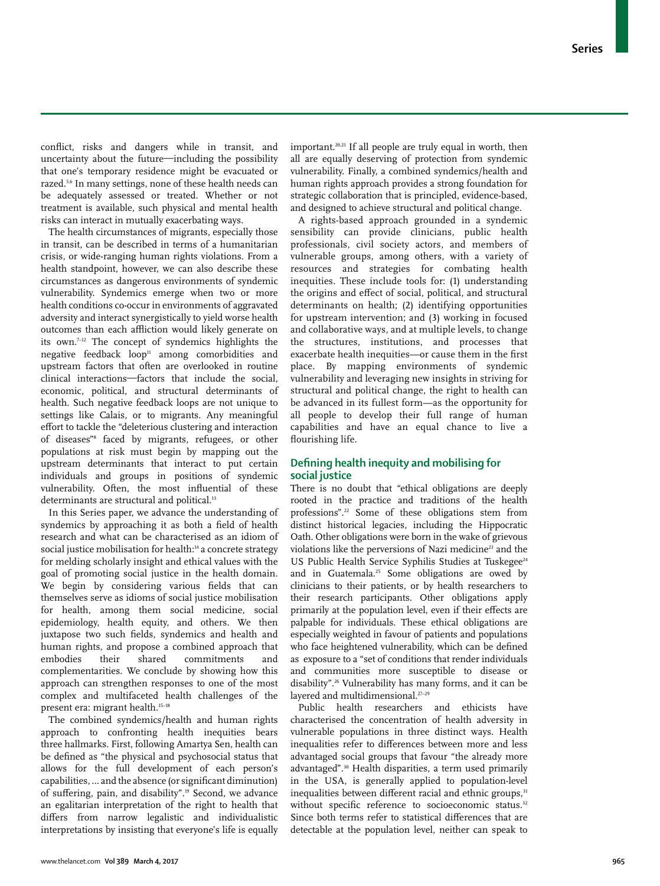conflict, risks and dangers while in transit, and uncertainty about the future—including the possibility that one's temporary residence might be evacuated or razed.5,6 In many settings, none of these health needs can be adequately assessed or treated. Whether or not treatment is available, such physical and mental health risks can interact in mutually exacerbating ways.

The health circumstances of migrants, especially those in transit, can be described in terms of a humanitarian crisis, or wide-ranging human rights violations. From a health standpoint, however, we can also describe these circumstances as dangerous environments of syndemic vulnerability. Syndemics emerge when two or more health conditions co-occur in environments of aggravated adversity and interact synergistically to yield worse health outcomes than each affliction would likely generate on its own.7–12 The concept of syndemics highlights the negative feedback loop<sup>11</sup> among comorbidities and upstream factors that often are overlooked in routine clinical interactions—factors that include the social, economic, political, and structural determinants of health. Such negative feedback loops are not unique to settings like Calais, or to migrants. Any meaningful effort to tackle the "deleterious clustering and interaction of diseases"8 faced by migrants, refugees, or other populations at risk must begin by mapping out the upstream determinants that interact to put certain individuals and groups in positions of syndemic vulnerability. Often, the most influential of these determinants are structural and political.<sup>13</sup>

In this Series paper, we advance the understanding of syndemics by approaching it as both a field of health research and what can be characterised as an idiom of social justice mobilisation for health:<sup>14</sup> a concrete strategy for melding scholarly insight and ethical values with the goal of promoting social justice in the health domain. We begin by considering various fields that can themselves serve as idioms of social justice mobilisation for health, among them social medicine, social epidemiology, health equity, and others. We then juxtapose two such fields, syndemics and health and human rights, and propose a combined approach that embodies their shared commitments and complementarities. We conclude by showing how this approach can strengthen responses to one of the most complex and multifaceted health challenges of the present era: migrant health.15–18

The combined syndemics/health and human rights approach to confronting health inequities bears three hallmarks. First, following Amartya Sen, health can be defined as "the physical and psychosocial status that allows for the full development of each person's capabilities, … and the absence (or significant diminution) of suffering, pain, and disability".19 Second, we advance an egalitarian interpretation of the right to health that differs from narrow legalistic and individualistic interpretations by insisting that everyone's life is equally important.20,21 If all people are truly equal in worth, then all are equally deserving of protection from syndemic vulnerability. Finally, a combined syndemics/health and human rights approach provides a strong foundation for strategic collaboration that is principled, evidence-based, and designed to achieve structural and political change.

A rights-based approach grounded in a syndemic sensibility can provide clinicians, public health professionals, civil society actors, and members of vulnerable groups, among others, with a variety of resources and strategies for combating health inequities. These include tools for: (1) understanding the origins and effect of social, political, and structural determinants on health; (2) identifying opportunities for upstream intervention; and (3) working in focused and collaborative ways, and at multiple levels, to change the structures, institutions, and processes that exacerbate health inequities—or cause them in the first place. By mapping environments of syndemic vulnerability and leveraging new insights in striving for structural and political change, the right to health can be advanced in its fullest form—as the opportunity for all people to develop their full range of human capabilities and have an equal chance to live a flourishing life.

## **Defining health inequity and mobilising for social justice**

There is no doubt that "ethical obligations are deeply rooted in the practice and traditions of the health professions".22 Some of these obligations stem from distinct historical legacies, including the Hippocratic Oath. Other obligations were born in the wake of grievous violations like the perversions of Nazi medicine<sup>23</sup> and the US Public Health Service Syphilis Studies at Tuskegee<sup>24</sup> and in Guatemala.<sup>25</sup> Some obligations are owed by clinicians to their patients, or by health researchers to their research participants. Other obligations apply primarily at the population level, even if their effects are palpable for individuals. These ethical obligations are especially weighted in favour of patients and populations who face heightened vulnerability, which can be defined as exposure to a "set of conditions that render individuals and communities more susceptible to disease or disability".26 Vulnerability has many forms, and it can be layered and multidimensional. $27-29$ 

Public health researchers and ethicists have characterised the concentration of health adversity in vulnerable populations in three distinct ways. Health inequalities refer to differences between more and less advantaged social groups that favour "the already more advantaged".<sup>30</sup> Health disparities, a term used primarily in the USA, is generally applied to population-level inequalities between different racial and ethnic groups,<sup>31</sup> without specific reference to socioeconomic status.<sup>32</sup> Since both terms refer to statistical differences that are detectable at the population level, neither can speak to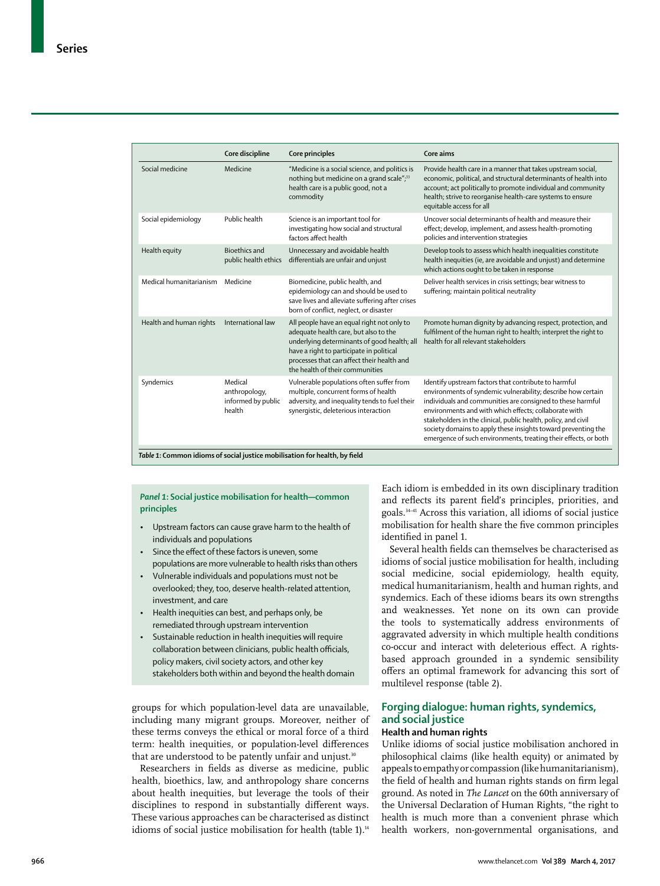|                         | Core discipline                                          | Core principles                                                                                                                                                                                                                                                 | Core aims                                                                                                                                                                                                                                                                                                                                                                                                                                         |
|-------------------------|----------------------------------------------------------|-----------------------------------------------------------------------------------------------------------------------------------------------------------------------------------------------------------------------------------------------------------------|---------------------------------------------------------------------------------------------------------------------------------------------------------------------------------------------------------------------------------------------------------------------------------------------------------------------------------------------------------------------------------------------------------------------------------------------------|
| Social medicine         | Medicine                                                 | "Medicine is a social science, and politics is<br>nothing but medicine on a grand scale"; <sup>33</sup><br>health care is a public good, not a<br>commodity                                                                                                     | Provide health care in a manner that takes upstream social,<br>economic, political, and structural determinants of health into<br>account; act politically to promote individual and community<br>health; strive to reorganise health-care systems to ensure<br>equitable access for all                                                                                                                                                          |
| Social epidemiology     | Public health                                            | Science is an important tool for<br>investigating how social and structural<br>factors affect health                                                                                                                                                            | Uncover social determinants of health and measure their<br>effect; develop, implement, and assess health-promoting<br>policies and intervention strategies                                                                                                                                                                                                                                                                                        |
| Health equity           | <b>Bioethics and</b><br>public health ethics             | Unnecessary and avoidable health<br>differentials are unfair and unjust                                                                                                                                                                                         | Develop tools to assess which health inequalities constitute<br>health inequities (ie, are avoidable and unjust) and determine<br>which actions ought to be taken in response                                                                                                                                                                                                                                                                     |
| Medical humanitarianism | Medicine                                                 | Biomedicine, public health, and<br>epidemiology can and should be used to<br>save lives and alleviate suffering after crises<br>born of conflict, neglect, or disaster                                                                                          | Deliver health services in crisis settings; bear witness to<br>suffering; maintain political neutrality                                                                                                                                                                                                                                                                                                                                           |
| Health and human rights | International law                                        | All people have an equal right not only to<br>adequate health care, but also to the<br>underlying determinants of good health; all<br>have a right to participate in political<br>processes that can affect their health and<br>the health of their communities | Promote human dignity by advancing respect, protection, and<br>fulfilment of the human right to health; interpret the right to<br>health for all relevant stakeholders                                                                                                                                                                                                                                                                            |
| Syndemics               | Medical<br>anthropology,<br>informed by public<br>health | Vulnerable populations often suffer from<br>multiple, concurrent forms of health<br>adversity, and inequality tends to fuel their<br>synergistic, deleterious interaction                                                                                       | Identify upstream factors that contribute to harmful<br>environments of syndemic vulnerability; describe how certain<br>individuals and communities are consigned to these harmful<br>environments and with which effects: collaborate with<br>stakeholders in the clinical, public health, policy, and civil<br>society domains to apply these insights toward preventing the<br>emergence of such environments, treating their effects, or both |

*Panel 1***: Social justice mobilisation for health—common principles**

- Upstream factors can cause grave harm to the health of individuals and populations
- Since the effect of these factors is uneven, some populations are more vulnerable to health risks than others
- Vulnerable individuals and populations must not be overlooked; they, too, deserve health-related attention, investment, and care
- Health inequities can best, and perhaps only, be remediated through upstream intervention
- Sustainable reduction in health inequities will require collaboration between clinicians, public health officials, policy makers, civil society actors, and other key stakeholders both within and beyond the health domain

groups for which population-level data are unavailable, including many migrant groups. Moreover, neither of these terms conveys the ethical or moral force of a third term: health inequities, or population-level differences that are understood to be patently unfair and unjust.<sup>30</sup>

Researchers in fields as diverse as medicine, public health, bioethics, law, and anthropology share concerns about health inequities, but leverage the tools of their disciplines to respond in substantially different ways. These various approaches can be characterised as distinct idioms of social justice mobilisation for health (table 1).<sup>14</sup>

Each idiom is embedded in its own disciplinary tradition and reflects its parent field's principles, priorities, and goals.34–41 Across this variation, all idioms of social justice mobilisation for health share the five common principles identified in panel 1.

Several health fields can themselves be characterised as idioms of social justice mobilisation for health, including social medicine, social epidemiology, health equity, medical humanitarianism, health and human rights, and syndemics. Each of these idioms bears its own strengths and weaknesses. Yet none on its own can provide the tools to systematically address environments of aggravated adversity in which multiple health conditions co-occur and interact with deleterious effect. A rightsbased approach grounded in a syndemic sensibility offers an optimal framework for advancing this sort of multilevel response (table 2).

# **Forging dialogue: human rights, syndemics, and social justice**

## **Health and human rights**

Unlike idioms of social justice mobilisation anchored in philosophical claims (like health equity) or animated by appeals to empathy or compassion (like humanitarianism), the field of health and human rights stands on firm legal ground. As noted in *The Lancet* on the 60th anniversary of the Universal Declaration of Human Rights, "the right to health is much more than a convenient phrase which health workers, non-governmental organisations, and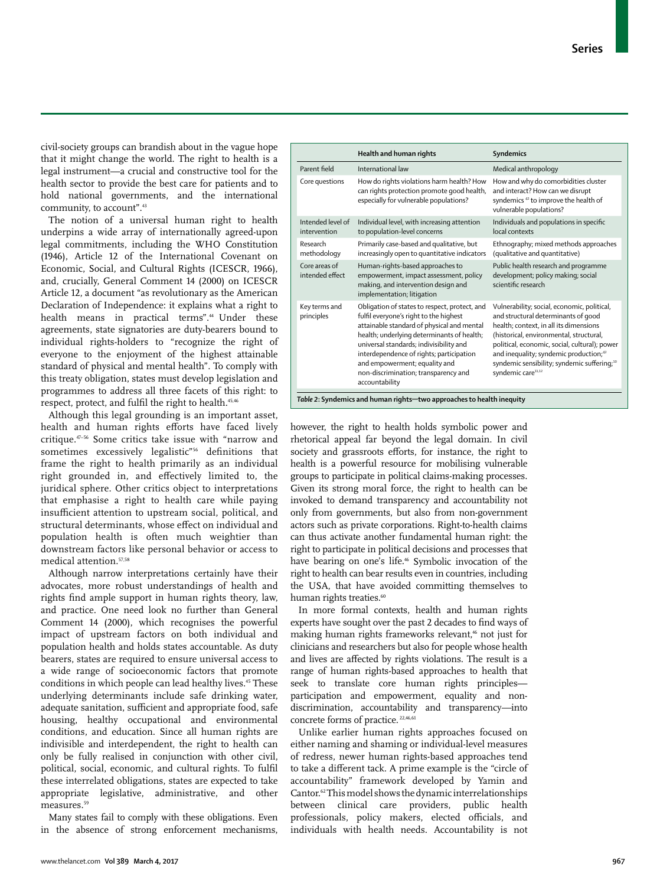How and why do comorbidities cluster and interact? How can we disrupt syndemics 42 to improve the health of vulnerable populations?

Individuals and populations in specific

civil-society groups can brandish about in the vague hope that it might change the world. The right to health is a legal instrument—a crucial and constructive tool for the health sector to provide the best care for patients and to hold national governments, and the international community, to account".<sup>43</sup>

The notion of a universal human right to health underpins a wide array of internationally agreed-upon legal commitments, including the WHO Constitution (1946), Article 12 of the International Covenant on Economic, Social, and Cultural Rights (ICESCR, 1966), and, crucially, General Comment 14 (2000) on ICESCR Article 12, a document "as revolutionary as the American Declaration of Independence: it explains what a right to health means in practical terms".44 Under these agreements, state signatories are duty-bearers bound to individual rights-holders to "recognize the right of everyone to the enjoyment of the highest attainable standard of physical and mental health". To comply with this treaty obligation, states must develop legislation and programmes to address all three facets of this right: to respect, protect, and fulfil the right to health.<sup>45,46</sup>

Although this legal grounding is an important asset, health and human rights efforts have faced lively critique.47–56 Some critics take issue with "narrow and sometimes excessively legalistic"<sup>56</sup> definitions that frame the right to health primarily as an individual right grounded in, and effectively limited to, the juridical sphere. Other critics object to interpretations that emphasise a right to health care while paying insufficient attention to upstream social, political, and structural determinants, whose effect on individual and population health is often much weightier than downstream factors like personal behavior or access to medical attention.57,58

Although narrow interpretations certainly have their advocates, more robust understandings of health and rights find ample support in human rights theory, law, and practice. One need look no further than General Comment 14 (2000), which recognises the powerful impact of upstream factors on both individual and population health and holds states accountable. As duty bearers, states are required to ensure universal access to a wide range of socioeconomic factors that promote conditions in which people can lead healthy lives.<sup>45</sup> These underlying determinants include safe drinking water, adequate sanitation, sufficient and appropriate food, safe housing, healthy occupational and environmental conditions, and education. Since all human rights are indivisible and interdependent, the right to health can only be fully realised in conjunction with other civil, political, social, economic, and cultural rights. To fulfil these interrelated obligations, states are expected to take appropriate legislative, administrative, and other measures.<sup>59</sup>

Many states fail to comply with these obligations. Even in the absence of strong enforcement mechanisms,

| intervention                                             | to population-level concerns                                                                                                                                                                                                                                                                                                                                          | local contexts                                                                                                                                                                                                                                                                                                                                                              |  |  |  |  |
|----------------------------------------------------------|-----------------------------------------------------------------------------------------------------------------------------------------------------------------------------------------------------------------------------------------------------------------------------------------------------------------------------------------------------------------------|-----------------------------------------------------------------------------------------------------------------------------------------------------------------------------------------------------------------------------------------------------------------------------------------------------------------------------------------------------------------------------|--|--|--|--|
| Research<br>methodology                                  | Primarily case-based and qualitative, but<br>increasingly open to quantitative indicators                                                                                                                                                                                                                                                                             | Ethnography; mixed methods approaches<br>(qualitative and quantitative)                                                                                                                                                                                                                                                                                                     |  |  |  |  |
| Core areas of<br>intended effect                         | Human-rights-based approaches to<br>empowerment, impact assessment, policy<br>making, and intervention design and<br>implementation; litigation                                                                                                                                                                                                                       | Public health research and programme<br>development; policy making; social<br>scientific research                                                                                                                                                                                                                                                                           |  |  |  |  |
| Key terms and<br>principles                              | Obligation of states to respect, protect, and<br>fulfil everyone's right to the highest<br>attainable standard of physical and mental<br>health; underlying determinants of health;<br>universal standards; indivisibility and<br>interdependence of rights; participation<br>and empowerment; equality and<br>non-discrimination; transparency and<br>accountability | Vulnerability; social, economic, political,<br>and structural determinants of good<br>health; context, in all its dimensions<br>(historical, environmental, structural,<br>political, economic, social, cultural); power<br>and inequality; syndemic production; <sup>42</sup><br>syndemic sensibility; syndemic suffering; <sup>10</sup><br>syndemic care <sup>11,12</sup> |  |  |  |  |
|                                                          | Table 2: Syndemics and human rights-two approaches to health inequity                                                                                                                                                                                                                                                                                                 |                                                                                                                                                                                                                                                                                                                                                                             |  |  |  |  |
|                                                          | however, the right to health holds symbolic power and<br>rhetorical appeal far beyond the legal domain. In civil<br>society and grassroots efforts, for instance, the right to<br>health is a powerful resource for mobilising vulnerable<br>groups to participate in political claims-making processes.                                                              |                                                                                                                                                                                                                                                                                                                                                                             |  |  |  |  |
| Given its strong moral force, the right to health can be |                                                                                                                                                                                                                                                                                                                                                                       |                                                                                                                                                                                                                                                                                                                                                                             |  |  |  |  |

**Health and human rights Syndemics** Parent field International law Medical anthropology

> can rights protection promote good health, especially for vulnerable populations?

Individual level, with increasing attention

Core questions How do rights violations harm health? How

Intended level of

groups to participate in political claims-making processes. Given its strong moral force, the right to health can be invoked to demand transparency and accountability not only from governments, but also from non-government actors such as private corporations. Right-to-health claims can thus activate another fundamental human right: the right to participate in political decisions and processes that have bearing on one's life.<sup>46</sup> Symbolic invocation of the right to health can bear results even in countries, including the USA, that have avoided committing themselves to human rights treaties.<sup>60</sup>

In more formal contexts, health and human rights experts have sought over the past 2 decades to find ways of making human rights frameworks relevant,<sup>46</sup> not just for clinicians and researchers but also for people whose health and lives are affected by rights violations. The result is a range of human rights-based approaches to health that seek to translate core human rights principles participation and empowerment, equality and nondiscrimination, accountability and transparency*—*into concrete forms of practice.<sup>22,46,61</sup>

Unlike earlier human rights approaches focused on either naming and shaming or individual-level measures of redress, newer human rights-based approaches tend to take a different tack. A prime example is the "circle of accountability" framework developed by Yamin and Cantor.62 This model shows the dynamic interrelationships between clinical care providers, public health professionals, policy makers, elected officials, and individuals with health needs. Accountability is not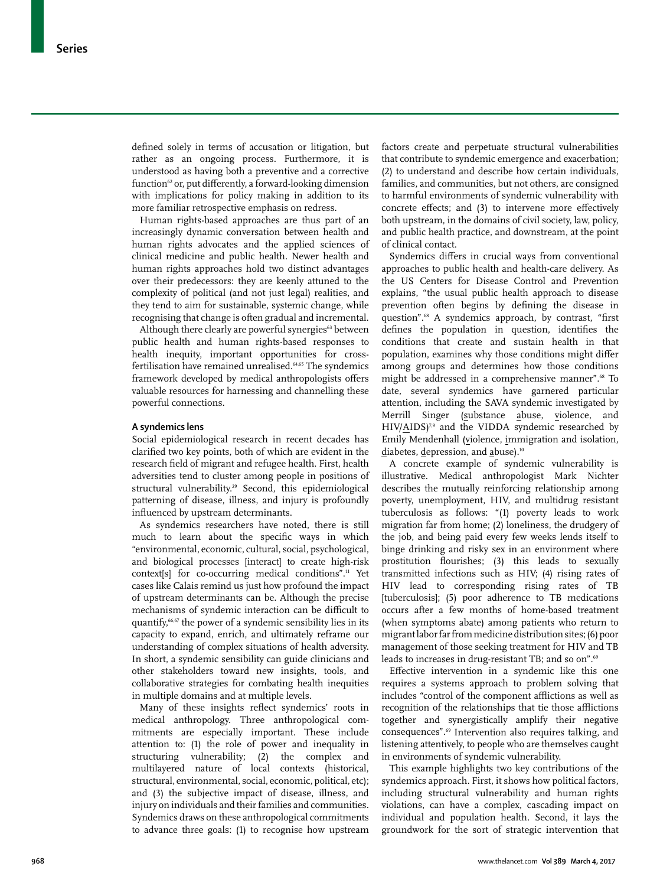defined solely in terms of accusation or litigation, but rather as an ongoing process. Furthermore, it is understood as having both a preventive and a corrective function62 or, put differently, a forward-looking dimension with implications for policy making in addition to its more familiar retrospective emphasis on redress.

Human rights-based approaches are thus part of an increasingly dynamic conversation between health and human rights advocates and the applied sciences of clinical medicine and public health. Newer health and human rights approaches hold two distinct advantages over their predecessors: they are keenly attuned to the complexity of political (and not just legal) realities, and they tend to aim for sustainable, systemic change, while recognising that change is often gradual and incremental.

Although there clearly are powerful synergies<sup>63</sup> between public health and human rights-based responses to health inequity, important opportunities for crossfertilisation have remained unrealised.<sup>64,65</sup> The syndemics framework developed by medical anthropologists offers valuable resources for harnessing and channelling these powerful connections.

#### **A syndemics lens**

Social epidemiological research in recent decades has clarified two key points, both of which are evident in the research field of migrant and refugee health. First, health adversities tend to cluster among people in positions of structural vulnerability.<sup>29</sup> Second, this epidemiological patterning of disease, illness, and injury is profoundly influenced by upstream determinants.

As syndemics researchers have noted, there is still much to learn about the specific ways in which "environmental, economic, cultural, social, psychological, and biological processes [interact] to create high-risk context[s] for co-occurring medical conditions".<sup>11</sup> Yet cases like Calais remind us just how profound the impact of upstream determinants can be. Although the precise mechanisms of syndemic interaction can be difficult to quantify,<sup>66,67</sup> the power of a syndemic sensibility lies in its capacity to expand, enrich, and ultimately reframe our understanding of complex situations of health adversity. In short, a syndemic sensibility can guide clinicians and other stakeholders toward new insights, tools, and collaborative strategies for combating health inequities in multiple domains and at multiple levels.

Many of these insights reflect syndemics' roots in medical anthropology. Three anthropological commitments are especially important. These include attention to: (1) the role of power and inequality in structuring vulnerability; (2) the complex and multilayered nature of local contexts (historical, structural, environmental, social, economic, political, etc); and (3) the subjective impact of disease, illness, and injury on individuals and their families and communities. Syndemics draws on these anthropological commitments to advance three goals: (1) to recognise how upstream factors create and perpetuate structural vulnerabilities that contribute to syndemic emergence and exacerbation; (2) to understand and describe how certain individuals, families, and communities, but not others, are consigned to harmful environments of syndemic vulnerability with concrete effects; and (3) to intervene more effectively both upstream, in the domains of civil society, law, policy, and public health practice, and downstream, at the point of clinical contact.

Syndemics differs in crucial ways from conventional approaches to public health and health-care delivery. As the US Centers for Disease Control and Prevention explains, "the usual public health approach to disease prevention often begins by defining the disease in question".68 A syndemics approach, by contrast, "first defines the population in question, identifies the conditions that create and sustain health in that population, examines why those conditions might differ among groups and determines how those conditions might be addressed in a comprehensive manner".<sup>68</sup> To date, several syndemics have garnered particular attention, including the SAVA syndemic investigated by Merrill Singer (substance abuse, violence, and HIV/AIDS)<sup>7,9</sup> and the VIDDA syndemic researched by Emily Mendenhall (violence, immigration and isolation, diabetes, depression, and abuse).<sup>10</sup>

A concrete example of syndemic vulnerability is illustrative. Medical anthropologist Mark Nichter describes the mutually reinforcing relationship among poverty, unemployment, HIV, and multidrug resistant tuberculosis as follows: "(1) poverty leads to work migration far from home; (2) loneliness, the drudgery of the job, and being paid every few weeks lends itself to binge drinking and risky sex in an environment where prostitution flourishes; (3) this leads to sexually transmitted infections such as HIV; (4) rising rates of HIV lead to corresponding rising rates of TB [tuberculosis]; (5) poor adherence to TB medications occurs after a few months of home-based treatment (when symptoms abate) among patients who return to migrant labor far from medicine distribution sites; (6) poor management of those seeking treatment for HIV and TB leads to increases in drug-resistant TB; and so on".<sup>69</sup>

Effective intervention in a syndemic like this one requires a systems approach to problem solving that includes "control of the component afflictions as well as recognition of the relationships that tie those afflictions together and synergistically amplify their negative consequences".69 Intervention also requires talking, and listening attentively, to people who are themselves caught in environments of syndemic vulnerability.

This example highlights two key contributions of the syndemics approach. First, it shows how political factors, including structural vulnerability and human rights violations, can have a complex, cascading impact on individual and population health. Second, it lays the groundwork for the sort of strategic intervention that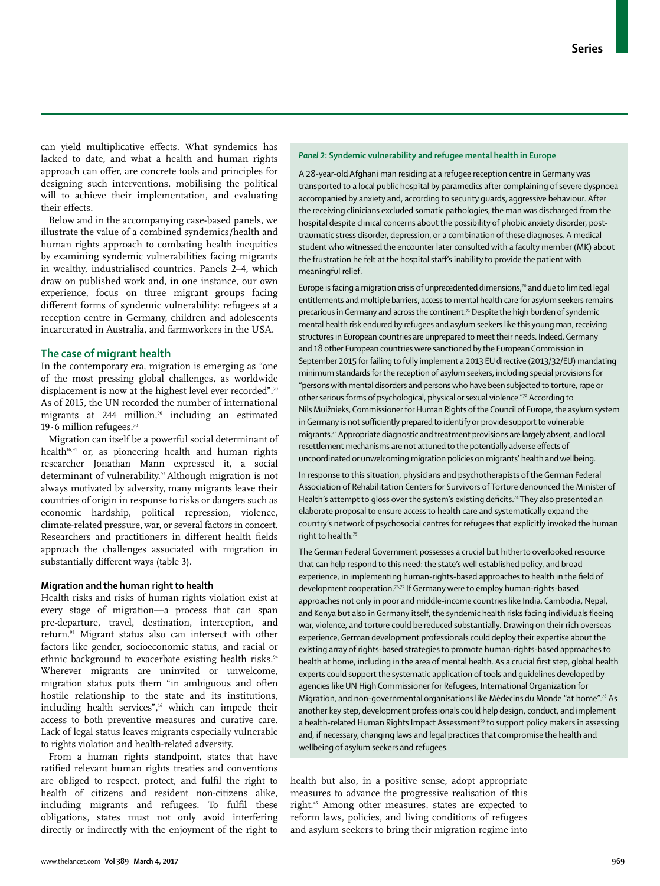can yield multiplicative effects. What syndemics has lacked to date, and what a health and human rights approach can offer, are concrete tools and principles for designing such interventions, mobilising the political will to achieve their implementation, and evaluating their effects.

Below and in the accompanying case-based panels, we illustrate the value of a combined syndemics/health and human rights approach to combating health inequities by examining syndemic vulnerabilities facing migrants in wealthy, industrialised countries. Panels 2–4, which draw on published work and, in one instance, our own experience, focus on three migrant groups facing different forms of syndemic vulnerability: refugees at a reception centre in Germany, children and adolescents incarcerated in Australia, and farmworkers in the USA.

#### **The case of migrant health**

In the contemporary era, migration is emerging as "one of the most pressing global challenges, as worldwide displacement is now at the highest level ever recorded".<sup>70</sup> As of 2015, the UN recorded the number of international migrants at 244 million,<sup>90</sup> including an estimated 19 $\cdot$ 6 million refugees.<sup>70</sup>

Migration can itself be a powerful social determinant of health $16,91$  or, as pioneering health and human rights researcher Jonathan Mann expressed it, a social determinant of vulnerability.<sup>92</sup> Although migration is not always motivated by adversity, many migrants leave their countries of origin in response to risks or dangers such as economic hardship, political repression, violence, climate-related pressure, war, or several factors in concert. Researchers and practitioners in different health fields approach the challenges associated with migration in substantially different ways (table 3).

#### **Migration and the human right to health**

Health risks and risks of human rights violation exist at every stage of migration—a process that can span pre-departure, travel, destination, interception, and return.93 Migrant status also can intersect with other factors like gender, socioeconomic status, and racial or ethnic background to exacerbate existing health risks.<sup>94</sup> Wherever migrants are uninvited or unwelcome, migration status puts them "in ambiguous and often hostile relationship to the state and its institutions, including health services",<sup>16</sup> which can impede their access to both preventive measures and curative care. Lack of legal status leaves migrants especially vulnerable to rights violation and health-related adversity.

From a human rights standpoint, states that have ratified relevant human rights treaties and conventions are obliged to respect, protect, and fulfil the right to health of citizens and resident non-citizens alike, including migrants and refugees. To fulfil these obligations, states must not only avoid interfering directly or indirectly with the enjoyment of the right to

#### *Panel 2***: Syndemic vulnerability and refugee mental health in Europe**

A 28-year-old Afghani man residing at a refugee reception centre in Germany was transported to a local public hospital by paramedics after complaining of severe dyspnoea accompanied by anxiety and, according to security guards, aggressive behaviour. After the receiving clinicians excluded somatic pathologies, the man was discharged from the hospital despite clinical concerns about the possibility of phobic anxiety disorder, posttraumatic stress disorder, depression, or a combination of these diagnoses. A medical student who witnessed the encounter later consulted with a faculty member (MK) about the frustration he felt at the hospital staff's inability to provide the patient with meaningful relief.

Europe is facing a migration crisis of unprecedented dimensions,<sup>70</sup> and due to limited legal entitlements and multiple barriers, access to mental health care for asylum seekers remains precarious in Germany and across the continent.<sup>71</sup> Despite the high burden of syndemic mental health risk endured by refugees and asylum seekerslike this young man, receiving structures in European countries are unprepared to meet their needs. Indeed, Germany and 18 other European countries were sanctioned by the European Commission in September 2015 for failing to fully implement a 2013 EU directive (2013/32/EU) mandating minimum standards for the reception of asylum seekers, including special provisions for "persons with mental disorders and persons who have been subjected to torture, rape or other serious forms of psychological, physical or sexual violence."72 According to Nils Muižnieks, Commissioner for Human Rights of the Council of Europe, the asylum system in Germany is not sufficiently prepared to identify or provide support to vulnerable migrants.73 Appropriate diagnostic and treatment provisions are largely absent, and local resettlement mechanisms are not attuned to the potentially adverse effects of uncoordinated or unwelcoming migration policies on migrants' health and wellbeing.

In response to this situation, physicians and psychotherapists of the German Federal Association of Rehabilitation Centers for Survivors of Torture denounced the Minister of Health's attempt to gloss over the system's existing deficits.<sup>74</sup> They also presented an elaborate proposal to ensure access to health care and systematically expand the country's network of psychosocial centres for refugeesthat explicitly invoked the human right to health.<sup>75</sup>

The German Federal Government possesses a crucial but hitherto overlooked resource that can help respond to this need: the state's well established policy, and broad experience, in implementing human-rights-based approaches to health in the field of development cooperation.<sup>76,77</sup> If Germany were to employ human-rights-based approaches not only in poor and middle-income countries like India, Cambodia, Nepal, and Kenya but also in Germany itself, the syndemic health risks facing individuals fleeing war, violence, and torture could be reduced substantially. Drawing on their rich overseas experience, German development professionals could deploy their expertise about the existing array of rights-based strategies to promote human-rights-based approaches to health at home, including in the area of mental health. As a crucial first step, global health experts could support the systematic application of tools and guidelines developed by agencies like UN High Commissioner for Refugees, International Organization for Migration, and non-governmental organisations like Médecins du Monde "at home".<sup>78</sup> As another key step, development professionals could help design, conduct, and implement a health-related Human Rights Impact Assessment<sup>79</sup> to support policy makers in assessing and, if necessary, changing laws and legal practices that compromise the health and wellbeing of asylum seekers and refugees.

health but also, in a positive sense, adopt appropriate measures to advance the progressive realisation of this right.45 Among other measures, states are expected to reform laws, policies, and living conditions of refugees and asylum seekers to bring their migration regime into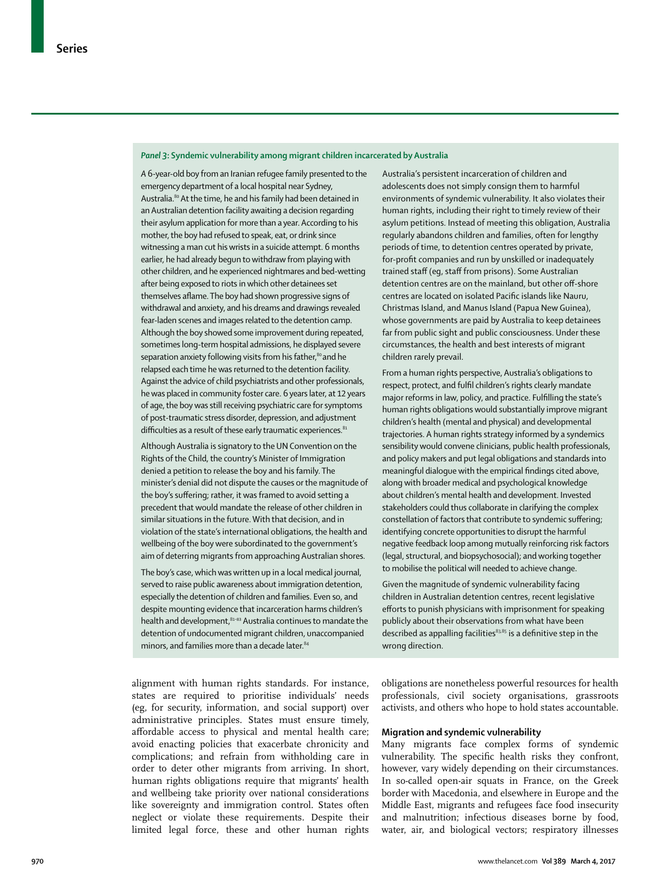#### *Panel 3***: Syndemic vulnerability among migrant children incarcerated by Australia**

*A* 6-year-old boy from an Iranian refugee family presented to the emergency department of a local hospital near Sydney, Australia.<sup>80</sup> At the time, he and his family had been detained in an Australian detention facility awaiting a decision regarding their asylum application for more than a year. According to his mother, the boy had refused to speak, eat, or drink since witnessing a man cut his wrists in a suicide attempt. 6 months earlier, he had already begun to withdraw from playing with other children, and he experienced nightmares and bed-wetting after being exposed to riots in which other detainees set themselves aflame. The boy had shown progressive signs of withdrawal and anxiety, and his dreams and drawings revealed fear-laden scenes and images related to the detention camp. Although the boy showed some improvement during repeated, sometimes long-term hospital admissions, he displayed severe separation anxiety following visits from his father,<sup>80</sup> and he relapsed each time he was returned to the detention facility. Against the advice of child psychiatrists and other professionals, he was placed in community foster care. 6 years later, at 12 years of age, the boy was still receiving psychiatric care for symptoms of post-traumatic stress disorder, depression, and adjustment difficulties as a result of these early traumatic experiences.<sup>81</sup>

Although Australia is signatory to the UN Convention on the Rights of the Child, the country's Minister of Immigration denied a petition to release the boy and his family. The minister's denial did not dispute the causes or the magnitude of the boy's suffering; rather, it was framed to avoid setting a precedent that would mandate the release of other children in similar situations in the future. With that decision, and in violation of the state's international obligations, the health and wellbeing of the boy were subordinated to the government's aim of deterring migrants from approaching Australian shores.

The boy's case, which was written up in a local medical journal, served to raise public awareness about immigration detention, especially the detention of children and families. Even so, and despite mounting evidence that incarceration harms children's health and development, <sup>81-83</sup> Australia continues to mandate the detention of undocumented migrant children, unaccompanied minors, and families more than a decade later.<sup>84</sup>

alignment with human rights standards. For instance, states are required to prioritise individuals' needs (eg, for security, information, and social support) over administrative principles. States must ensure timely, affordable access to physical and mental health care; avoid enacting policies that exacerbate chronicity and complications; and refrain from withholding care in order to deter other migrants from arriving. In short, human rights obligations require that migrants' health and wellbeing take priority over national considerations like sovereignty and immigration control. States often neglect or violate these requirements. Despite their limited legal force, these and other human rights Australia's persistent incarceration of children and adolescents does not simply consign them to harmful environments of syndemic vulnerability. It also violates their human rights, including their right to timely review of their asylum petitions. Instead of meeting this obligation, Australia regularly abandons children and families, often for lengthy periods of time, to detention centres operated by private, for-profit companies and run by unskilled or inadequately trained staff (eg, staff from prisons). Some Australian detention centres are on the mainland, but other off-shore centres are located on isolated Pacific islands like Nauru, Christmas Island, and Manus Island (Papua New Guinea), whose governments are paid by Australia to keep detainees far from public sight and public consciousness. Under these circumstances, the health and best interests of migrant children rarely prevail.

From a human rights perspective, Australia's obligations to respect, protect, and fulfil children's rights clearly mandate major reforms in law, policy, and practice. Fulfilling the state's human rights obligations would substantially improve migrant children's health (mental and physical) and developmental trajectories. A human rights strategy informed by a syndemics sensibility would convene clinicians, public health professionals, and policy makers and put legal obligations and standards into meaningful dialogue with the empirical findings cited above, along with broader medical and psychological knowledge about children's mental health and development. Invested stakeholders could thus collaborate in clarifying the complex constellation of factors that contribute to syndemic suffering; identifying concrete opportunities to disrupt the harmful negative feedback loop among mutually reinforcing risk factors (legal, structural, and biopsychosocial); and working together to mobilise the political will needed to achieve change.

Given the magnitude of syndemic vulnerability facing children in Australian detention centres, recent legislative efforts to punish physicians with imprisonment for speaking publicly about their observations from what have been described as appalling facilities<sup>83,85</sup> is a definitive step in the wrong direction.

obligations are nonetheless powerful resources for health professionals, civil society organisations, grassroots activists, and others who hope to hold states accountable.

#### **Migration and syndemic vulnerability**

Many migrants face complex forms of syndemic vulnerability. The specific health risks they confront, however, vary widely depending on their circumstances. In so-called open-air squats in France, on the Greek border with Macedonia, and elsewhere in Europe and the Middle East, migrants and refugees face food insecurity and malnutrition; infectious diseases borne by food, water, air, and biological vectors; respiratory illnesses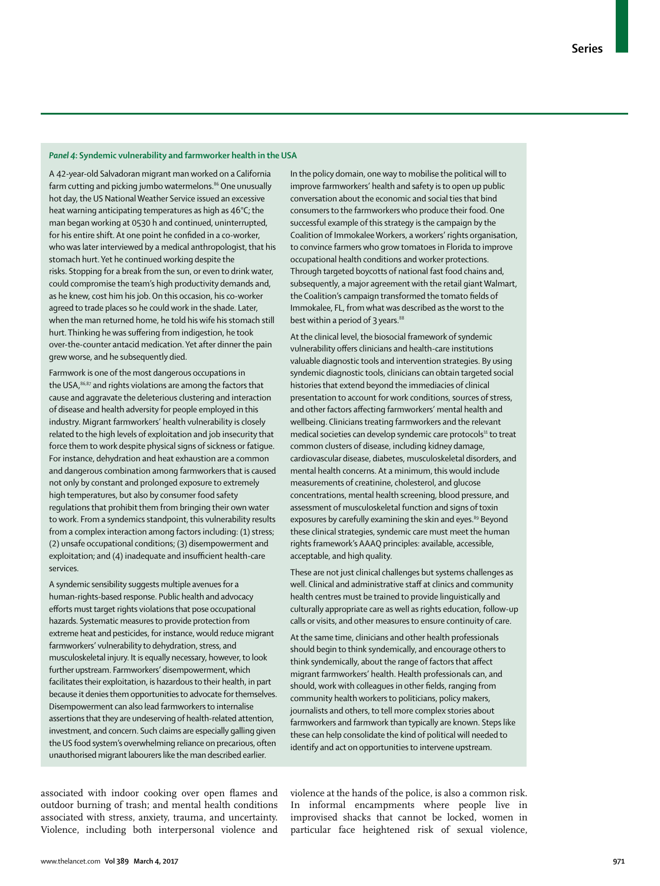#### *Panel 4***: Syndemic vulnerability and farmworker health in the USA**

A 42-year-old Salvadoran migrant man worked on a California farm cutting and picking jumbo watermelons.<sup>86</sup> One unusually hot day, the US National Weather Service issued an excessive heat warning anticipating temperatures as high as 46°C; the man began working at 0530 h and continued, uninterrupted, for his entire shift. At one point he confided in a co-worker, who was later interviewed by a medical anthropologist, that his stomach hurt.Yet he continued working despite the risks. Stopping for a break from the sun, or even to drink water, could compromise the team's high productivity demands and, as he knew, cost him his job. On this occasion, his co-worker agreed to trade places so he could work in the shade. Later, when the man returned home, he told his wife his stomach still hurt. Thinking he was suffering from indigestion, he took over-the-counter antacid medication. Yet after dinner the pain grew worse, and he subsequently died.

Farmwork is one of the most dangerous occupations in the USA,<sup>86,87</sup> and rights violations are among the factors that cause and aggravate the deleterious clustering and interaction of disease and health adversity for people employed in this industry. Migrant farmworkers' health vulnerability is closely related to the high levels of exploitation and job insecurity that force them to work despite physical signs of sickness or fatigue. For instance, dehydration and heat exhaustion are a common and dangerous combination among farmworkers that is caused not only by constant and prolonged exposure to extremely high temperatures, but also by consumer food safety regulations that prohibit them from bringing their own water to work. From a syndemics standpoint, this vulnerability results from a complex interaction among factors including: (1) stress; (2) unsafe occupational conditions; (3) disempowerment and exploitation; and (4) inadequate and insufficient health-care services.

A syndemic sensibility suggests multiple avenues for a human-rights-based response. Public health and advocacy efforts must target rights violations that pose occupational hazards. Systematic measuresto provide protection from extreme heat and pesticides, for instance, would reduce migrant farmworkers' vulnerability to dehydration, stress, and musculoskeletal injury. It is equally necessary, however, to look further upstream. Farmworkers' disempowerment, which facilitates their exploitation, is hazardous to their health, in part because it denies them opportunities to advocate for themselves. Disempowerment can also lead farmworkers to internalise assertions that they are undeserving of health-related attention, investment, and concern. Such claims are especially galling given the US food system's overwhelming reliance on precarious, often unauthorised migrant labourers like the man described earlier.

In the policy domain, one way to mobilise the political will to improve farmworkers' health and safety isto open up public conversation about the economic and social ties that bind consumers to the farmworkers who produce their food. One successful example of this strategy is the campaign by the Coalition of Immokalee Workers, a workers' rights organisation, to convince farmers who grow tomatoes in Florida to improve occupational health conditions and worker protections. Through targeted boycotts of national fast food chains and, subsequently, a major agreement with the retail giant Walmart, the Coalition's campaign transformed the tomato fields of Immokalee, FL, from what was described as the worst to the best within a period of 3 years.<sup>88</sup>

At the clinical level, the biosocial framework of syndemic vulnerability offers clinicians and health-care institutions valuable diagnostic tools and intervention strategies. By using syndemic diagnostic tools, clinicians can obtain targeted social histories that extend beyond the immediacies of clinical presentation to account for work conditions, sources of stress, and other factors affecting farmworkers' mental health and wellbeing. Clinicians treating farmworkers and the relevant medical societies can develop syndemic care protocols<sup>11</sup> to treat common clusters of disease, including kidney damage, cardiovascular disease, diabetes, musculoskeletal disorders, and mental health concerns. At a minimum, this would include measurements of creatinine, cholesterol, and glucose concentrations, mental health screening, blood pressure, and assessment of musculoskeletal function and signs of toxin exposures by carefully examining the skin and eyes.<sup>89</sup> Beyond these clinical strategies, syndemic care must meet the human rights framework's AAAQ principles: available, accessible, acceptable, and high quality.

These are not just clinical challenges but systems challenges as well. Clinical and administrative staff at clinics and community health centres must be trained to provide linguistically and culturally appropriate care as well as rights education, follow-up calls or visits, and other measures to ensure continuity of care.

At the same time, clinicians and other health professionals should begin to think syndemically, and encourage others to think syndemically, about the range of factors that affect migrant farmworkers' health. Health professionals can, and should, work with colleagues in other fields, ranging from community health workers to politicians, policy makers, journalists and others, to tell more complex stories about farmworkers and farmwork than typically are known. Steps like these can help consolidate the kind of political will needed to identify and act on opportunities to intervene upstream.

associated with indoor cooking over open flames and outdoor burning of trash; and mental health conditions associated with stress, anxiety, trauma, and uncertainty. Violence, including both interpersonal violence and violence at the hands of the police, is also a common risk. In informal encampments where people live in improvised shacks that cannot be locked, women in particular face heightened risk of sexual violence,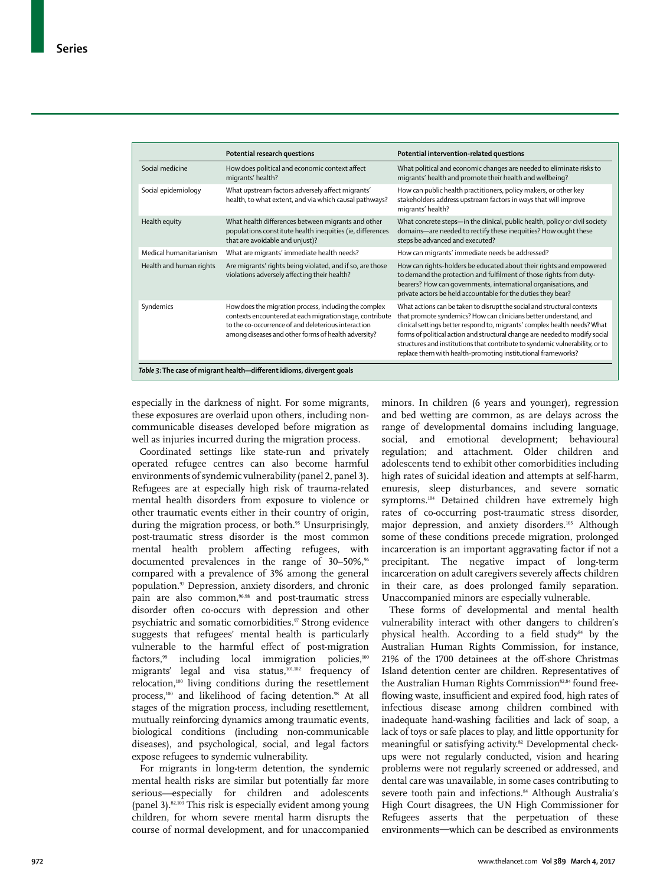|                                                                       | Potential research questions                                                                                                                                                                                                    | Potential intervention-related questions                                                                                                                                                                                                                                                                                                                                                                                                                 |  |  |
|-----------------------------------------------------------------------|---------------------------------------------------------------------------------------------------------------------------------------------------------------------------------------------------------------------------------|----------------------------------------------------------------------------------------------------------------------------------------------------------------------------------------------------------------------------------------------------------------------------------------------------------------------------------------------------------------------------------------------------------------------------------------------------------|--|--|
| Social medicine                                                       | How does political and economic context affect<br>migrants' health?                                                                                                                                                             | What political and economic changes are needed to eliminate risks to<br>migrants' health and promote their health and wellbeing?                                                                                                                                                                                                                                                                                                                         |  |  |
| Social epidemiology                                                   | What upstream factors adversely affect migrants'<br>health, to what extent, and via which causal pathways?                                                                                                                      | How can public health practitioners, policy makers, or other key<br>stakeholders address upstream factors in ways that will improve<br>migrants' health?                                                                                                                                                                                                                                                                                                 |  |  |
| Health equity                                                         | What health differences between migrants and other<br>populations constitute health inequities (ie, differences<br>that are avoidable and unjust)?                                                                              | What concrete steps-in the clinical, public health, policy or civil society<br>domains-are needed to rectify these inequities? How ought these<br>steps be advanced and executed?                                                                                                                                                                                                                                                                        |  |  |
| Medical humanitarianism                                               | What are migrants' immediate health needs?                                                                                                                                                                                      | How can migrants' immediate needs be addressed?                                                                                                                                                                                                                                                                                                                                                                                                          |  |  |
| Health and human rights                                               | Are migrants' rights being violated, and if so, are those<br>violations adversely affecting their health?                                                                                                                       | How can rights-holders be educated about their rights and empowered<br>to demand the protection and fulfilment of those rights from duty-<br>bearers? How can governments, international organisations, and<br>private actors be held accountable for the duties they bear?                                                                                                                                                                              |  |  |
| Syndemics                                                             | How does the migration process, including the complex<br>contexts encountered at each migration stage, contribute<br>to the co-occurrence of and deleterious interaction<br>among diseases and other forms of health adversity? | What actions can be taken to disrupt the social and structural contexts<br>that promote syndemics? How can clinicians better understand, and<br>clinical settings better respond to, migrants' complex health needs? What<br>forms of political action and structural change are needed to modify social<br>structures and institutions that contribute to syndemic vulnerability, or to<br>replace them with health-promoting institutional frameworks? |  |  |
| Table 3: The case of migrant health-different idioms, divergent goals |                                                                                                                                                                                                                                 |                                                                                                                                                                                                                                                                                                                                                                                                                                                          |  |  |

especially in the darkness of night. For some migrants, these exposures are overlaid upon others, including noncommunicable diseases developed before migration as well as injuries incurred during the migration process.

Coordinated settings like state-run and privately operated refugee centres can also become harmful environments of syndemic vulnerability (panel 2, panel 3). Refugees are at especially high risk of trauma-related mental health disorders from exposure to violence or other traumatic events either in their country of origin, during the migration process, or both.<sup>95</sup> Unsurprisingly, post-traumatic stress disorder is the most common mental health problem affecting refugees, with documented prevalences in the range of  $30-50\%$ ,<sup>66</sup> compared with a prevalence of 3% among the general population.97 Depression, anxiety disorders, and chronic pain are also common,<sup>96,98</sup> and post-traumatic stress disorder often co-occurs with depression and other psychiatric and somatic comorbidities.<sup>97</sup> Strong evidence suggests that refugees' mental health is particularly vulnerable to the harmful effect of post-migration factors,<sup>99</sup> including local immigration policies, $100$ migrants' legal and visa status,101,102 frequency of relocation,100 living conditions during the resettlement process,<sup>100</sup> and likelihood of facing detention.<sup>98</sup> At all stages of the migration process, including resettlement, mutually reinforcing dynamics among traumatic events, biological conditions (including non-communicable diseases), and psychological, social, and legal factors expose refugees to syndemic vulnerability.

For migrants in long-term detention, the syndemic mental health risks are similar but potentially far more serious—especially for children and adolescents (panel 3).82,103 This risk is especially evident among young children, for whom severe mental harm disrupts the course of normal development, and for unaccompanied minors. In children (6 years and younger), regression and bed wetting are common, as are delays across the range of developmental domains including language, social, and emotional development; behavioural regulation; and attachment. Older children and adolescents tend to exhibit other comorbidities including high rates of suicidal ideation and attempts at self-harm, enuresis, sleep disturbances, and severe somatic symptoms.<sup>104</sup> Detained children have extremely high rates of co-occurring post-traumatic stress disorder, major depression, and anxiety disorders.<sup>105</sup> Although some of these conditions precede migration, prolonged incarceration is an important aggravating factor if not a precipitant. The negative impact of long-term incarceration on adult caregivers severely affects children in their care, as does prolonged family separation. Unaccompanied minors are especially vulnerable.

These forms of developmental and mental health vulnerability interact with other dangers to children's physical health. According to a field study<sup>84</sup> by the Australian Human Rights Commission, for instance, 21% of the 1700 detainees at the off-shore Christmas Island detention center are children. Representatives of the Australian Human Rights Commission<sup>82,84</sup> found freeflowing waste, insufficient and expired food, high rates of infectious disease among children combined with inadequate hand-washing facilities and lack of soap, a lack of toys or safe places to play, and little opportunity for meaningful or satisfying activity.<sup>82</sup> Developmental checkups were not regularly conducted, vision and hearing problems were not regularly screened or addressed, and dental care was unavailable, in some cases contributing to severe tooth pain and infections.<sup>84</sup> Although Australia's High Court disagrees, the UN High Commissioner for Refugees asserts that the perpetuation of these environments—which can be described as environments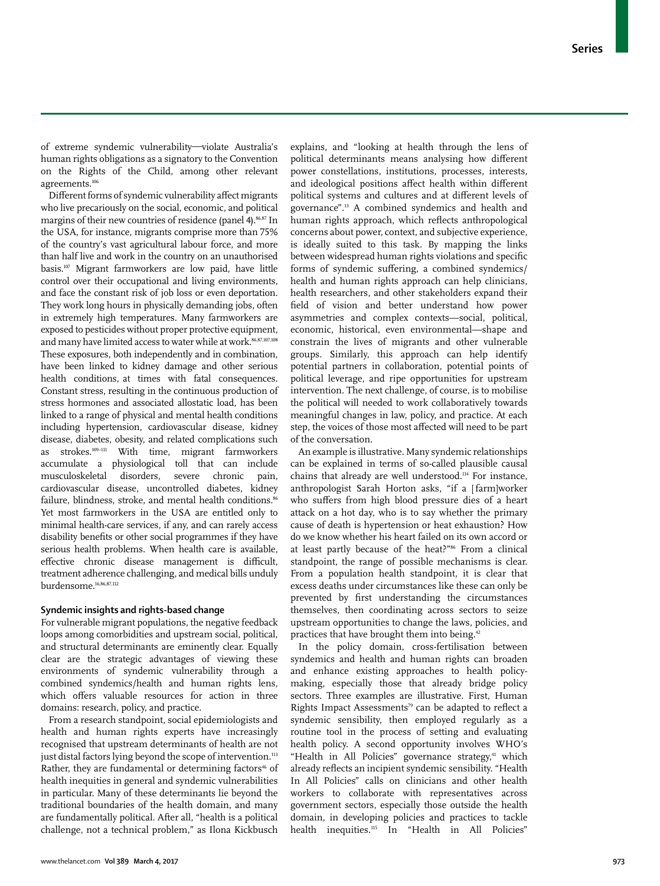of extreme syndemic vulnerability—violate Australia's human rights obligations as a signatory to the Convention on the Rights of the Child, among other relevant agreements.<sup>106</sup>

Different forms of syndemic vulnerability affect migrants who live precariously on the social, economic, and political margins of their new countries of residence (panel 4).<sup>86,87</sup> In the USA, for instance, migrants comprise more than 75% of the country's vast agricultural labour force, and more than half live and work in the country on an unauthorised basis.107 Migrant farmworkers are low paid, have little control over their occupational and living environments, and face the constant risk of job loss or even deportation. They work long hours in physically demanding jobs, often in extremely high temperatures. Many farmworkers are exposed to pesticides without proper protective equipment, and many have limited access to water while at work.<sup>86,87,107,108</sup> These exposures, both independently and in combination, have been linked to kidney damage and other serious health conditions, at times with fatal consequences. Constant stress, resulting in the continuous production of stress hormones and associated allostatic load, has been linked to a range of physical and mental health conditions including hypertension, cardiovascular disease, kidney disease, diabetes, obesity, and related complications such as strokes.109–111 With time, migrant farmworkers accumulate a physiological toll that can include musculoskeletal disorders, severe chronic pain, cardiovascular disease, uncontrolled diabetes, kidney failure, blindness, stroke, and mental health conditions.<sup>86</sup> Yet most farmworkers in the USA are entitled only to minimal health-care services, if any, and can rarely access disability benefits or other social programmes if they have serious health problems. When health care is available, effective chronic disease management is difficult, treatment adherence challenging, and medical bills unduly burdensome.16,86,87,112

#### **Syndemic insights and rights-based change**

For vulnerable migrant populations, the negative feedback loops among comorbidities and upstream social, political, and structural determinants are eminently clear. Equally clear are the strategic advantages of viewing these environments of syndemic vulnerability through a combined syndemics/health and human rights lens, which offers valuable resources for action in three domains: research, policy, and practice.

From a research standpoint, social epidemiologists and health and human rights experts have increasingly recognised that upstream determinants of health are not just distal factors lying beyond the scope of intervention.<sup>113</sup> Rather, they are fundamental or determining factors<sup>46</sup> of health inequities in general and syndemic vulnerabilities in particular. Many of these determinants lie beyond the traditional boundaries of the health domain, and many are fundamentally political. After all, "health is a political challenge, not a technical problem," as Ilona Kickbusch explains, and "looking at health through the lens of political determinants means analysing how different power constellations, institutions, processes, interests, and ideological positions affect health within different political systems and cultures and at different levels of governance".13 A combined syndemics and health and human rights approach, which reflects anthropological concerns about power, context, and subjective experience, is ideally suited to this task. By mapping the links between widespread human rights violations and specific forms of syndemic suffering, a combined syndemics/ health and human rights approach can help clinicians, health researchers, and other stakeholders expand their field of vision and better understand how power asymmetries and complex contexts—social, political, economic, historical, even environmental—shape and constrain the lives of migrants and other vulnerable groups. Similarly, this approach can help identify potential partners in collaboration, potential points of political leverage, and ripe opportunities for upstream intervention. The next challenge, of course, is to mobilise the political will needed to work collaboratively towards meaningful changes in law, policy, and practice. At each step, the voices of those most affected will need to be part of the conversation.

An example is illustrative. Many syndemic relationships can be explained in terms of so-called plausible causal chains that already are well understood.114 For instance, anthropologist Sarah Horton asks, "if a [ farm]worker who suffers from high blood pressure dies of a heart attack on a hot day, who is to say whether the primary cause of death is hypertension or heat exhaustion? How do we know whether his heart failed on its own accord or at least partly because of the heat?"86 From a clinical standpoint, the range of possible mechanisms is clear. From a population health standpoint, it is clear that excess deaths under circumstances like these can only be prevented by first understanding the circumstances themselves, then coordinating across sectors to seize upstream opportunities to change the laws, policies, and practices that have brought them into being.<sup>42</sup>

In the policy domain, cross-fertilisation between syndemics and health and human rights can broaden and enhance existing approaches to health policymaking, especially those that already bridge policy sectors. Three examples are illustrative. First, Human Rights Impact Assessments<sup>79</sup> can be adapted to reflect a syndemic sensibility, then employed regularly as a routine tool in the process of setting and evaluating health policy. A second opportunity involves WHO's "Health in All Policies" governance strategy,<sup>41</sup> which already reflects an incipient syndemic sensibility. "Health In All Policies" calls on clinicians and other health workers to collaborate with representatives across government sectors, especially those outside the health domain, in developing policies and practices to tackle health inequities.<sup>115</sup> In "Health in All Policies"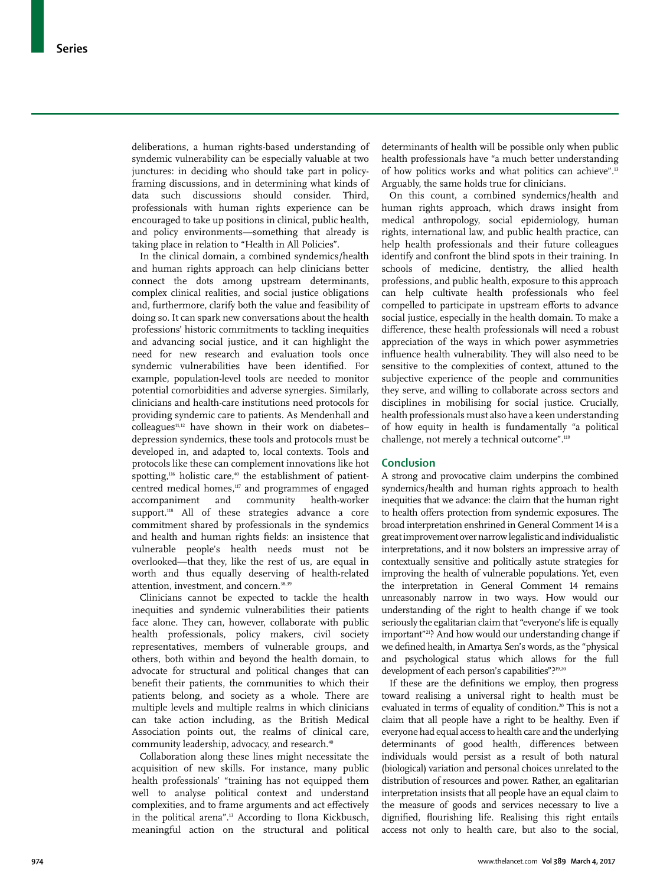deliberations, a human rights-based understanding of syndemic vulnerability can be especially valuable at two junctures: in deciding who should take part in policyframing discussions, and in determining what kinds of data such discussions should consider. Third, professionals with human rights experience can be encouraged to take up positions in clinical, public health, and policy environments—something that already is taking place in relation to "Health in All Policies".

In the clinical domain, a combined syndemics/health and human rights approach can help clinicians better connect the dots among upstream determinants, complex clinical realities, and social justice obligations and, furthermore, clarify both the value and feasibility of doing so. It can spark new conversations about the health professions' historic commitments to tackling inequities and advancing social justice, and it can highlight the need for new research and evaluation tools once syndemic vulnerabilities have been identified. For example, population-level tools are needed to monitor potential comorbidities and adverse synergies. Similarly, clinicians and health-care institutions need protocols for providing syndemic care to patients. As Mendenhall and  $\text{colle}$ agues<sup>11,12</sup> have shown in their work on diabetes– depression syndemics, these tools and protocols must be developed in, and adapted to, local contexts. Tools and protocols like these can complement innovations like hot spotting,<sup>116</sup> holistic care,<sup>40</sup> the establishment of patientcentred medical homes,<sup>117</sup> and programmes of engaged accompaniment and community health-worker support.<sup>118</sup> All of these strategies advance a core commitment shared by professionals in the syndemics and health and human rights fields: an insistence that vulnerable people's health needs must not be overlooked—that they, like the rest of us, are equal in worth and thus equally deserving of health-related attention, investment, and concern.<sup>38,39</sup>

Clinicians cannot be expected to tackle the health inequities and syndemic vulnerabilities their patients face alone. They can, however, collaborate with public health professionals, policy makers, civil society representatives, members of vulnerable groups, and others, both within and beyond the health domain, to advocate for structural and political changes that can benefit their patients, the communities to which their patients belong, and society as a whole. There are multiple levels and multiple realms in which clinicians can take action including, as the British Medical Association points out, the realms of clinical care, community leadership, advocacy, and research.<sup>40</sup>

Collaboration along these lines might necessitate the acquisition of new skills. For instance, many public health professionals' "training has not equipped them well to analyse political context and understand complexities, and to frame arguments and act effectively in the political arena".13 According to Ilona Kickbusch, meaningful action on the structural and political determinants of health will be possible only when public health professionals have "a much better understanding of how politics works and what politics can achieve".13 Arguably, the same holds true for clinicians.

On this count, a combined syndemics/health and human rights approach, which draws insight from medical anthropology, social epidemiology, human rights, international law, and public health practice, can help health professionals and their future colleagues identify and confront the blind spots in their training. In schools of medicine, dentistry, the allied health professions, and public health, exposure to this approach can help cultivate health professionals who feel compelled to participate in upstream efforts to advance social justice, especially in the health domain. To make a difference, these health professionals will need a robust appreciation of the ways in which power asymmetries influence health vulnerability. They will also need to be sensitive to the complexities of context, attuned to the subjective experience of the people and communities they serve, and willing to collaborate across sectors and disciplines in mobilising for social justice. Crucially, health professionals must also have a keen understanding of how equity in health is fundamentally "a political challenge, not merely a technical outcome".119

#### **Conclusion**

A strong and provocative claim underpins the combined syndemics/health and human rights approach to health inequities that we advance: the claim that the human right to health offers protection from syndemic exposures. The broad interpretation enshrined in General Comment 14 is a great improvement over narrow legalistic and individualistic interpretations, and it now bolsters an impressive array of contextually sensitive and politically astute strategies for improving the health of vulnerable populations. Yet, even the interpretation in General Comment 14 remains unreasonably narrow in two ways. How would our understanding of the right to health change if we took seriously the egalitarian claim that "everyone's life is equally important"21? And how would our understanding change if we defined health, in Amartya Sen's words, as the "physical and psychological status which allows for the full development of each person's capabilities"?19,20

If these are the definitions we employ, then progress toward realising a universal right to health must be evaluated in terms of equality of condition.<sup>20</sup> This is not a claim that all people have a right to be healthy. Even if everyone had equal access to health care and the underlying determinants of good health, differences between individuals would persist as a result of both natural (biological) variation and personal choices unrelated to the distribution of resources and power. Rather, an egalitarian interpretation insists that all people have an equal claim to the measure of goods and services necessary to live a dignified, flourishing life. Realising this right entails access not only to health care, but also to the social,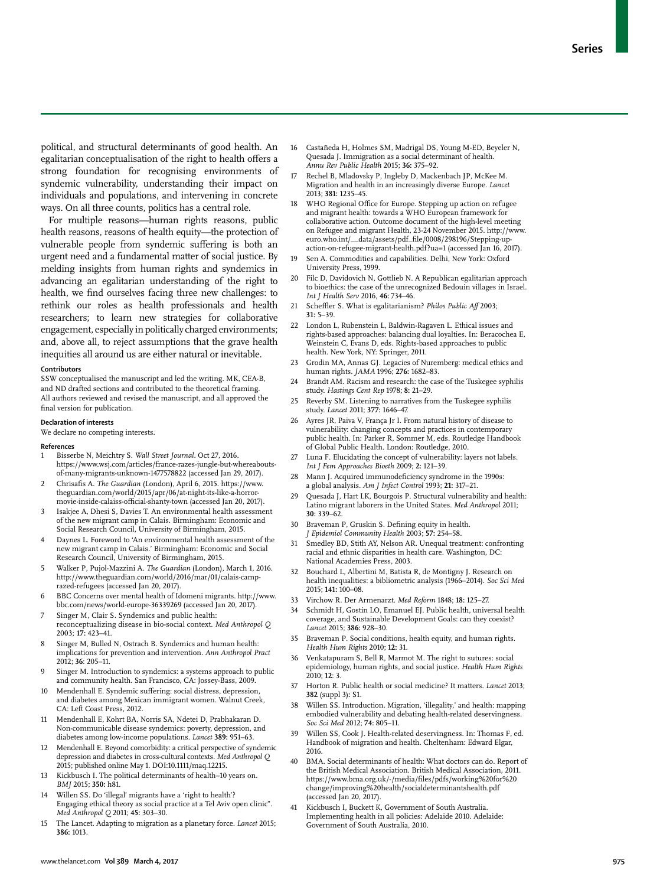political, and structural determinants of good health. An egalitarian conceptualisation of the right to health offers a strong foundation for recognising environments of syndemic vulnerability, understanding their impact on individuals and populations, and intervening in concrete ways. On all three counts, politics has a central role.

For multiple reasons—human rights reasons, public health reasons, reasons of health equity—the protection of vulnerable people from syndemic suffering is both an urgent need and a fundamental matter of social justice. By melding insights from human rights and syndemics in advancing an egalitarian understanding of the right to health, we find ourselves facing three new challenges: to rethink our roles as health professionals and health researchers; to learn new strategies for collaborative engagement, especially in politically charged environments; and, above all, to reject assumptions that the grave health inequities all around us are either natural or inevitable.

#### **Contributors**

SSW conceptualised the manuscript and led the writing. MK, CEA-B, and ND drafted sections and contributed to the theoretical framing. All authors reviewed and revised the manuscript, and all approved the final version for publication.

#### **Declaration of interests**

We declare no competing interests.

#### **References**

- 1 Bisserbe N, Meichtry S. *Wall Street Journal*. Oct 27, 2016. https://www.wsj.com/articles/france-razes-jungle-but-whereaboutsof-many-migrants-unknown-1477578822 (accessed Jan 29, 2017).
- 2 Chrisafis A. *The Guardian* (London), April 6, 2015. https://www. theguardian.com/world/2015/apr/06/at-night-its-like-a-horrormovie-inside-calaiss-official-shanty-town (accessed Jan 20, 2017).
- Isakjee A, Dhesi S, Davies T. An environmental health assessment of the new migrant camp in Calais. Birmingham: Economic and Social Research Council, University of Birmingham, 2015.
- Daynes L. Foreword to 'An environmental health assessment of the new migrant camp in Calais.' Birmingham: Economic and Social Research Council, University of Birmingham, 2015.
- 5 Walker P, Pujol-Mazzini A. *The Guardian* (London), March 1, 2016. http://www.theguardian.com/world/2016/mar/01/calais-camprazed-refugees (accessed Jan 20, 2017).
- 6 BBC Concerns over mental health of Idomeni migrants. http://www. bbc.com/news/world-europe-36339269 (accessed Jan 20, 2017).
- Singer M, Clair S. Syndemics and public health: reconceptualizing disease in bio-social context. *Med Anthropol Q* 2003; **17:** 423–41.
- Singer M, Bulled N, Ostrach B. Syndemics and human health: implications for prevention and intervention. *Ann Anthropol Pract* 2012; **36**: 205–11.
- Singer M. Introduction to syndemics: a systems approach to public and community health. San Francisco, CA: Jossey-Bass, 2009.
- 10 Mendenhall E. Syndemic suffering: social distress, depression, and diabetes among Mexican immigrant women. Walnut Creek, CA: Left Coast Press, 2012.
- 11 Mendenhall E, Kohrt BA, Norris SA, Ndetei D, Prabhakaran D. Non-communicable disease syndemics: poverty, depression, and diabetes among low-income populations. *Lancet* **389:** 951–63.
- 12 Mendenhall E. Beyond comorbidity: a critical perspective of syndemic depression and diabetes in cross-cultural contexts. *Med Anthropol Q* 2015; published online May 1. DOI:10.1111/maq.12215.
- 13 Kickbusch I. The political determinants of health–10 years on. *BMJ* 2015; **350:** h81.
- 14 Willen SS. Do 'illegal' migrants have a 'right to health'? Engaging ethical theory as social practice at a Tel Aviv open clinic". *Med Anthropol Q* 2011; **45:** 303–30.
- 15 The Lancet. Adapting to migration as a planetary force. *Lancet* 2015; **386:** 1013.
- 16 Castañeda H, Holmes SM, Madrigal DS, Young M-ED, Beyeler N, Quesada J. Immigration as a social determinant of health. *Annu Rev Public Health* 2015; **36:** 375–92.
- Rechel B, Mladovsky P, Ingleby D, Mackenbach JP, McKee M. Migration and health in an increasingly diverse Europe. *Lancet* 2013; **381:** 1235–45.
- WHO Regional Office for Europe. Stepping up action on refugee and migrant health: towards a WHO European framework for collaborative action. Outcome document of the high-level meeting on Refugee and migrant Health, 23-24 November 2015. http://www. euro.who.int/\_\_data/assets/pdf\_file/0008/298196/Stepping-upaction-on-refugee-migrant-health.pdf?ua=1 (accessed Jan 16, 2017).
- 19 Sen A. Commodities and capabilities. Delhi, New York: Oxford University Press, 1999.
- 20 Filc D, Davidovich N, Gottlieb N. A Republican egalitarian approach to bioethics: the case of the unrecognized Bedouin villages in Israel. *Int J Health Serv* 2016, **46:** 734–46.
- 21 Scheffler S. What is egalitarianism? *Philos Public Aff* 2003; **31:** 5–39.
- 22 London L, Rubenstein L, Baldwin-Ragaven L. Ethical issues and rights-based approaches: balancing dual loyalties. In: Beracochea E, Weinstein C, Evans D, eds. Rights-based approaches to public health. New York, NY: Springer, 2011.
- 23 Grodin MA, Annas GJ. Legacies of Nuremberg: medical ethics and human rights. *JAMA* 1996; **276:** 1682–83.
- 24 Brandt AM. Racism and research: the case of the Tuskegee syphilis study. *Hastings Cent Rep* 1978; **8:** 21–29.
- 25 Reverby SM. Listening to narratives from the Tuskegee syphilis study. *Lancet* 2011; **377:** 1646–47.
- 26 Ayres JR, Paiva V, França Jr I. From natural history of disease to vulnerability: changing concepts and practices in contemporary public health. In: Parker R, Sommer M, eds. Routledge Handbook of Global Public Health. London: Routledge, 2010.
- Luna F. Elucidating the concept of vulnerability: layers not labels. *Int J Fem Approaches Bioeth* 2009; **2:** 121–39.
- Mann J. Acquired immunodeficiency syndrome in the 1990s: a global analysis. *Am J Infect Control* 1993; **21:** 317–21.
- Quesada J, Hart LK, Bourgois P. Structural vulnerability and health: Latino migrant laborers in the United States. *Med Anthropol* 2011; **30:** 339–62.
- 30 Braveman P, Gruskin S. Defining equity in health. *J Epidemiol Community Health* 2003; **57:** 254–58.
- Smedley BD, Stith AY, Nelson AR. Unequal treatment: confronting racial and ethnic disparities in health care. Washington, DC: National Academies Press, 2003.
- 32 Bouchard L, Albertini M, Batista R, de Montigny J. Research on health inequalities: a bibliometric analysis (1966–2014). *Soc Sci Med* 2015; **141:** 100–08.
- 33 Virchow R. Der Armenarzt. *Med Reform* 1848; **18:** 125–27.
- Schmidt H, Gostin LO, Emanuel EJ. Public health, universal health coverage, and Sustainable Development Goals: can they coexist? *Lancet* 2015; **386:** 928–30.
- 35 Braveman P. Social conditions, health equity, and human rights. *Health Hum Rights* 2010; **12:** 31.
- 36 Venkatapuram S, Bell R, Marmot M. The right to sutures: social epidemiology, human rights, and social justice. *Health Hum Rights* 2010; **12**: 3.
- 37 Horton R. Public health or social medicine? It matters. *Lancet* 2013; **382** (suppl 3)**:** S1.
- 38 Willen SS. Introduction. Migration, 'illegality,' and health: mapping embodied vulnerability and debating health-related deservingness. *Soc Sci Med* 2012; **74:** 805–11.
- 39 Willen SS, Cook J. Health-related deservingness. In: Thomas F, ed. Handbook of migration and health. Cheltenham: Edward Elgar, 2016.
- BMA. Social determinants of health: What doctors can do. Report of the British Medical Association. British Medical Association, 2011. https://www.bma.org.uk/-/media/files/pdfs/working%20for%20 change/improving%20health/socialdeterminantshealth.pdf (accessed Jan 20, 2017).
- 41 Kickbusch I, Buckett K, Government of South Australia. Implementing health in all policies: Adelaide 2010. Adelaide: Government of South Australia, 2010.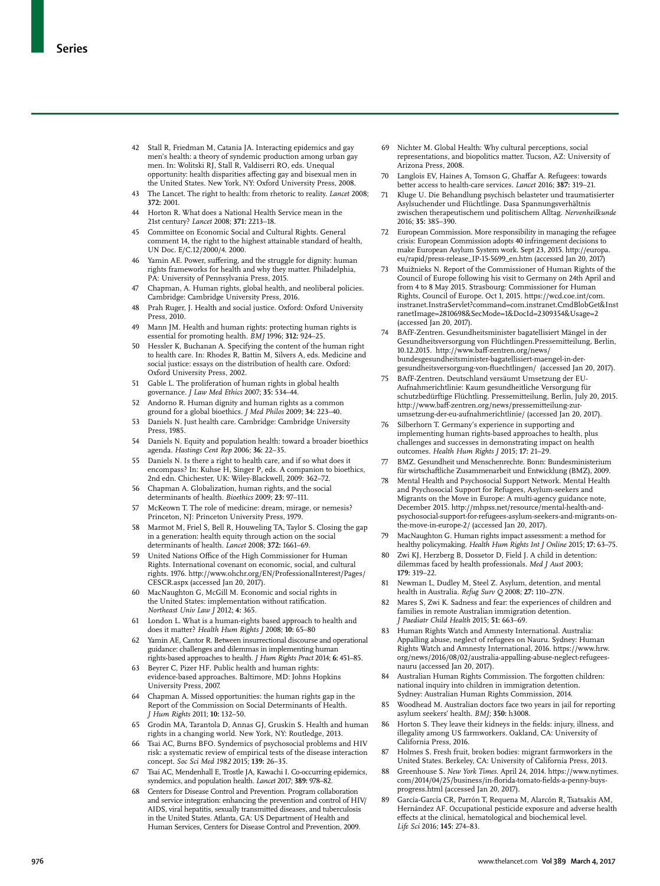- 42 Stall R, Friedman M, Catania JA. Interacting epidemics and gay men's health: a theory of syndemic production among urban gay men. In: Wolitski RJ, Stall R, Valdiserri RO, eds. Unequal opportunity: health disparities affecting gay and bisexual men in the United States. New York, NY: Oxford University Press, 2008.
- 43 The Lancet. The right to health: from rhetoric to reality. *Lancet* 2008; **372:** 2001.
- 44 Horton R. What does a National Health Service mean in the 21st century? *Lancet* 2008; **371:** 2213–18.
- 45 Committee on Economic Social and Cultural Rights. General comment 14, the right to the highest attainable standard of health, UN Doc. E/C.12/2000/4. 2000.
- Yamin AE. Power, suffering, and the struggle for dignity: human rights frameworks for health and why they matter. Philadelphia, PA: University of Pennsylvania Press, 2015.
- Chapman, A. Human rights, global health, and neoliberal policies. Cambridge: Cambridge University Press, 2016.
- 48 Prah Ruger, J. Health and social justice. Oxford: Oxford University Press, 2010.
- 49 Mann JM. Health and human rights: protecting human rights is essential for promoting health. *BMJ* 1996; **312:** 924–25.
- 50 Hessler K, Buchanan A. Specifying the content of the human right to health care. In: Rhodes R, Battin M, Silvers A, eds. Medicine and social justice: essays on the distribution of health care. Oxford: Oxford University Press, 2002.
- 51 Gable L. The proliferation of human rights in global health governance. *J Law Med Ethics* 2007; **35:** 534–44.
- 52 Andorno R. Human dignity and human rights as a common ground for a global bioethics. *J Med Philos* 2009; **34:** 223–40.
- 53 Daniels N. Just health care. Cambridge: Cambridge University Press, 1985.
- 54 Daniels N. Equity and population health: toward a broader bioethics agenda. *Hastings Cent Rep* 2006; **36:** 22–35.
- 55 Daniels N. Is there a right to health care, and if so what does it encompass? In: Kuhse H, Singer P, eds. A companion to bioethics, 2nd edn. Chichester, UK: Wiley-Blackwell, 2009: 362–72.
- 56 Chapman A. Globalization, human rights, and the social determinants of health. *Bioethics* 2009; **23:** 97–111.
- McKeown T. The role of medicine: dream, mirage, or nemesis? Princeton, NJ: Princeton University Press, 1979.
- 58 Marmot M, Friel S, Bell R, Houweling TA, Taylor S. Closing the gap in a generation: health equity through action on the social determinants of health. *Lancet* 2008; **372:** 1661–69.
- 59 United Nations Office of the High Commissioner for Human Rights. International covenant on economic, social, and cultural rights. 1976. http://www.ohchr.org/EN/ProfessionalInterest/Pages/ CESCR.aspx (accessed Jan 20, 2017).
- 60 MacNaughton G, McGill M. Economic and social rights in the United States: implementation without ratification. *Northeast Univ Law J* 2012; **4:** 365.
- 61 London L. What is a human-rights based approach to health and does it matter? *Health Hum Rights J* 2008; **10:** 65–80
- 62 Yamin AE, Cantor R. Between insurrectional discourse and operational guidance: challenges and dilemmas in implementing human rights-based approaches to health. *J Hum Rights Pract* 2014; **6:** 451–85.
- 63 Beyrer C, Pizer HF. Public health and human rights: evidence-based approaches. Baltimore, MD: Johns Hopkins University Press, 2007.
- Chapman A. Missed opportunities: the human rights gap in the Report of the Commission on Social Determinants of Health. *J Hum Rights* 2011; **10:** 132–50.
- 65 Grodin MA, Tarantola D, Annas GJ, Gruskin S. Health and human rights in a changing world. New York, NY: Routledge, 2013.
- 66 Tsai AC, Burns BFO. Syndemics of psychosocial problems and HIV risk: a systematic review of empirical tests of the disease interaction concept. *Soc Sci Med 1982* 2015; **139:** 26–35.
- 67 Tsai AC, Mendenhall E, Trostle JA, Kawachi I. Co-occurring epidemics, syndemics, and population health. *Lancet* 2017; **389:** 978–82.
- 68 Centers for Disease Control and Prevention. Program collaboration and service integration: enhancing the prevention and control of HIV/ AIDS, viral hepatitis, sexually transmitted diseases, and tuberculosis in the United States. Atlanta, GA: US Department of Health and Human Services, Centers for Disease Control and Prevention, 2009.
- 69 Nichter M. Global Health: Why cultural perceptions, social representations, and biopolitics matter. Tucson, AZ: University of Arizona Press, 2008.
- 70 Langlois EV, Haines A, Tomson G, Ghaffar A. Refugees: towards better access to health-care services. *Lancet* 2016; **387:** 319–21.
- 71 Kluge U. Die Behandlung psychisch belasteter und traumatisierter Asylsuchender und Flüchtlinge. Dasa Spannungsverhältnis zwischen therapeutischem und politischem Alltag. *Nervenheilkunde* 2016; **35:** 385–390.
- 72 European Commission. More responsibility in managing the refugee crisis: European Commission adopts 40 infringement decisions to make European Asylum System work. Sept 23, 2015. http://europa. eu/rapid/press-release\_IP-15-5699\_en.htm (accessed Jan 20, 2017)
- 73 Muižnieks N. Report of the Commissioner of Human Rights of the Council of Europe following his visit to Germany on 24th April and from 4 to 8 May 2015. Strasbourg: Commissioner for Human Rights, Council of Europe. Oct 1, 2015. https://wcd.coe.int/com. instranet.InstraServlet?command=com.instranet.CmdBlobGet&Inst ranetImage=2810698&SecMode=1&DocId=2309354&Usage=2 (accessed Jan 20, 2017).
- 74 BAfF-Zentren. Gesundheitsminister bagatellisiert Mängel in der Gesundheitsversorgung von Flüchtlingen.Pressemitteilung, Berlin, 10.12.2015. http://www.baff-zentren.org/news/ bundesgesundheitsminister-bagatellisiert-maengel-in-dergesundheitsversorgung-von-fluechtlingen/ (accessed Jan 20, 2017).
- 75 BAfF-Zentren. Deutschland versäumt Umsetzung der EU-Aufnahmerichtlinie: Kaum gesundheitliche Versorgung für schutzbedürftige Flüchtling. Pressemitteilung, Berlin, July 20, 2015. http://www.baff-zentren.org/news/pressemitteilung-zurumsetzung-der-eu-aufnahmerichtlinie/ (accessed Jan 20, 2017).
- Silberhorn T. Germany's experience in supporting and implementing human rights-based approaches to health, plus challenges and successes in demonstrating impact on health outcomes. *Health Hum Rights J* 2015; **17:** 21–29.
- 77 BMZ. Gesundheit und Menschenrechte. Bonn: Bundesministerium für wirtschaftliche Zusammenarbeit und Entwicklung (BMZ), 2009.
- 78 Mental Health and Psychosocial Support Network. Mental Health and Psychosocial Support for Refugees, Asylum-seekers and Migrants on the Move in Europe: A multi-agency guidance note, December 2015. http://mhpss.net/resource/mental-health-andpsychosocial-support-for-refugees-asylum-seekers-and-migrants-onthe-move-in-europe-2/ (accessed Jan 20, 2017).
- 79 MacNaughton G. Human rights impact assessment: a method for healthy policymaking. *Health Hum Rights Int J Online* 2015; **17:** 63–75.
- Zwi KJ, Herzberg B, Dossetor D, Field J. A child in detention: dilemmas faced by health professionals. *Med J Aust* 2003; **179:** 319–22.
- 81 Newman L, Dudley M, Steel Z. Asylum, detention, and mental health in Australia. *Refug Surv Q* 2008; **27:** 110–27N.
- Mares S, Zwi K. Sadness and fear: the experiences of children and families in remote Australian immigration detention. *J Paediatr Child Health* 2015; **51:** 663–69.
- 83 Human Rights Watch and Amnesty International. Australia: Appalling abuse, neglect of refugees on Nauru. Sydney: Human Rights Watch and Amnesty International, 2016. https://www.hrw. org/news/2016/08/02/australia-appalling-abuse-neglect-refugeesnauru (accessed Jan 20, 2017).
- Australian Human Rights Commission. The forgotten children: national inquiry into children in immigration detention. Sydney: Australian Human Rights Commission, 2014.
- 85 Woodhead M. Australian doctors face two years in jail for reporting asylum seekers' health. *BMJ*; **350:** h3008.
- 86 Horton S. They leave their kidneys in the fields: injury, illness, and illegality among US farmworkers. Oakland, CA: University of California Press, 2016.
- 87 Holmes S. Fresh fruit, broken bodies: migrant farmworkers in the United States. Berkeley, CA: University of California Press, 2013.
- 88 Greenhouse S. *New York Times*. April 24, 2014. https://www.nytimes. com/2014/04/25/business/in-florida-tomato-fields-a-penny-buysprogress.html (accessed Jan 20, 2017).
- 89 García-García CR, Parrón T, Requena M, Alarcón R, Tsatsakis AM, Hernández AF. Occupational pesticide exposure and adverse health effects at the clinical, hematological and biochemical level. *Life Sci* 2016; **145:** 274–83.